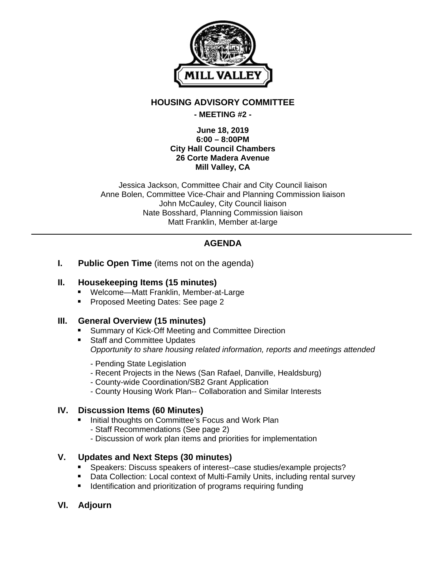

## **HOUSING ADVISORY COMMITTEE**

### **- MEETING #2 -**

#### **June 18, 2019 6:00 – 8:00PM City Hall Council Chambers 26 Corte Madera Avenue Mill Valley, CA**

Jessica Jackson, Committee Chair and City Council liaison Anne Bolen, Committee Vice-Chair and Planning Commission liaison John McCauley, City Council liaison Nate Bosshard, Planning Commission liaison Matt Franklin, Member at-large

# **AGENDA**

**I.** Public Open Time (items not on the agenda)

### **II. Housekeeping Items (15 minutes)**

- Welcome—Matt Franklin, Member-at-Large
- **Proposed Meeting Dates: See page 2**

## **III. General Overview (15 minutes)**

- **E** Summary of Kick-Off Meeting and Committee Direction
- **Staff and Committee Updates** *Opportunity to share housing related information, reports and meetings attended* 
	- Pending State Legislation
	- Recent Projects in the News (San Rafael, Danville, Healdsburg)
	- County-wide Coordination/SB2 Grant Application
	- County Housing Work Plan-- Collaboration and Similar Interests

## **IV. Discussion Items (60 Minutes)**

- Initial thoughts on Committee's Focus and Work Plan
	- Staff Recommendations (See page 2)
	- Discussion of work plan items and priorities for implementation

## **V. Updates and Next Steps (30 minutes)**

- Speakers: Discuss speakers of interest--case studies/example projects?
- Data Collection: Local context of Multi-Family Units, including rental survey
- **I** Identification and prioritization of programs requiring funding
- **VI. Adjourn**